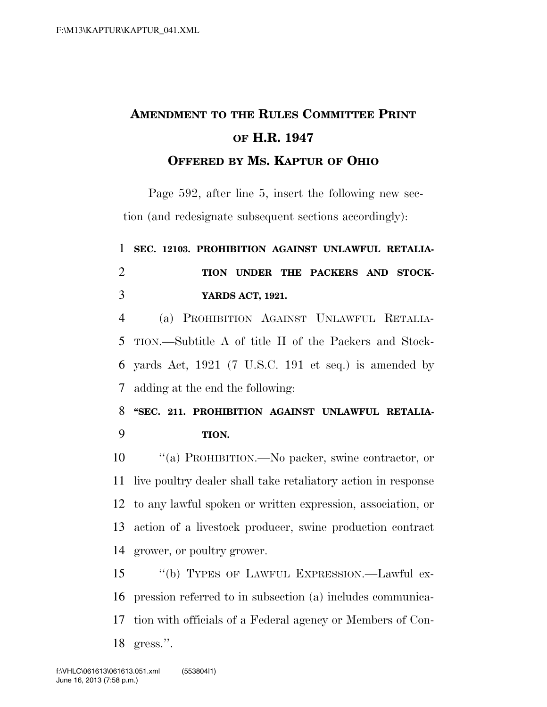## **AMENDMENT TO THE RULES COMMITTEE PRINT OF H.R. 1947 OFFERED BY MS. KAPTUR OF OHIO**

Page 592, after line 5, insert the following new section (and redesignate subsequent sections accordingly):

 **SEC. 12103. PROHIBITION AGAINST UNLAWFUL RETALIA- TION UNDER THE PACKERS AND STOCK- YARDS ACT, 1921.**  (a) PROHIBITION AGAINST UNLAWFUL RETALIA- TION.—Subtitle A of title II of the Packers and Stock- yards Act, 1921 (7 U.S.C. 191 et seq.) is amended by adding at the end the following: **''SEC. 211. PROHIBITION AGAINST UNLAWFUL RETALIA- TION.**  ''(a) PROHIBITION.—No packer, swine contractor, or live poultry dealer shall take retaliatory action in response to any lawful spoken or written expression, association, or

 action of a livestock producer, swine production contract grower, or poultry grower.

 ''(b) TYPES OF LAWFUL EXPRESSION.—Lawful ex- pression referred to in subsection (a) includes communica- tion with officials of a Federal agency or Members of Con-gress.''.